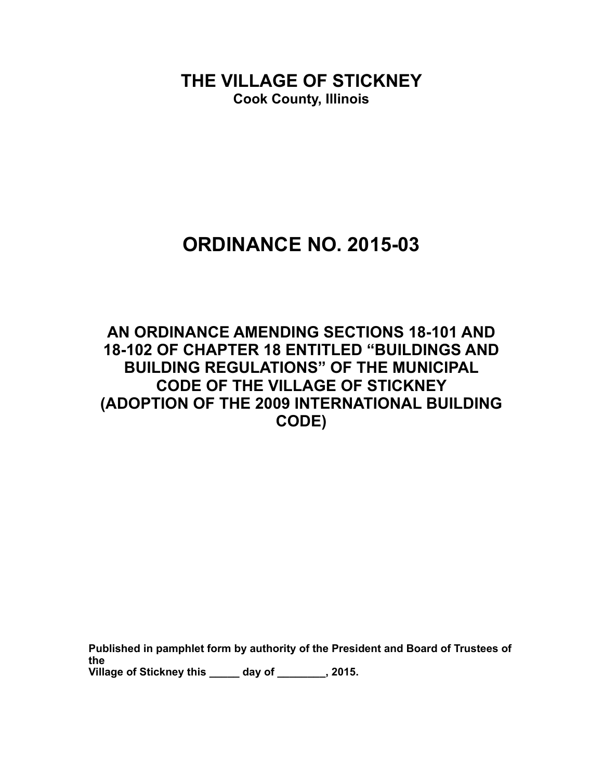**THE VILLAGE OF STICKNEY Cook County, Illinois**

# **ORDINANCE NO. 2015-03**

## **AN ORDINANCE AMENDING SECTIONS 18-101 AND 18-102 OF CHAPTER 18 ENTITLED "BUILDINGS AND BUILDING REGULATIONS" OF THE MUNICIPAL CODE OF THE VILLAGE OF STICKNEY (ADOPTION OF THE 2009 INTERNATIONAL BUILDING CODE)**

**Published in pamphlet form by authority of the President and Board of Trustees of the Village of Stickney this \_\_\_\_\_ day of \_\_\_\_\_\_\_\_, 2015.**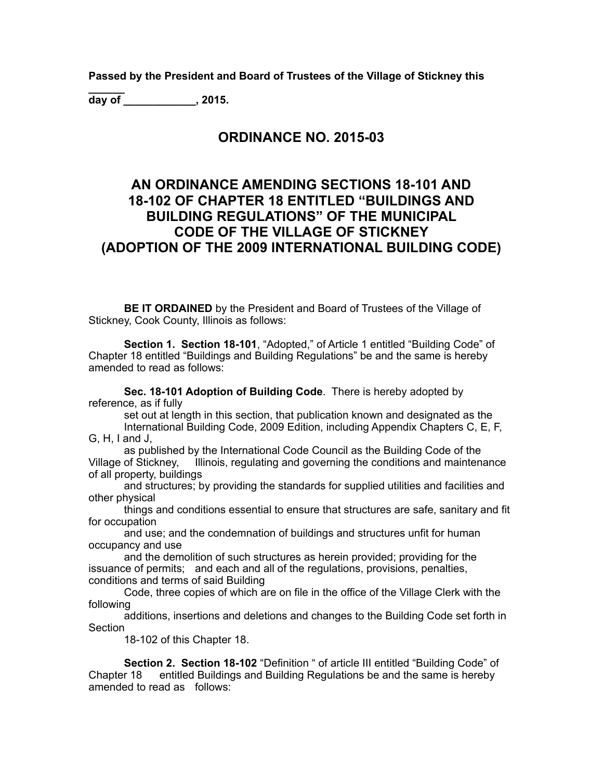**Passed by the President and Board of Trustees of the Village of Stickney this** 

**\_\_\_\_\_\_ day of \_\_\_\_\_\_\_\_\_\_\_\_, 2015.**

#### **ORDINANCE NO. 2015-03**

### **AN ORDINANCE AMENDING SECTIONS 18-101 AND 18-102 OF CHAPTER 18 ENTITLED "BUILDINGS AND BUILDING REGULATIONS" OF THE MUNICIPAL CODE OF THE VILLAGE OF STICKNEY (ADOPTION OF THE 2009 INTERNATIONAL BUILDING CODE)**

**BE IT ORDAINED** by the President and Board of Trustees of the Village of Stickney, Cook County, Illinois as follows:

**Section 1. Section 18-101**, "Adopted," of Article 1 entitled "Building Code" of Chapter 18 entitled "Buildings and Building Regulations" be and the same is hereby amended to read as follows:

 **Sec. 18-101 Adoption of Building Code**. There is hereby adopted by reference, as if fully

 set out at length in this section, that publication known and designated as the International Building Code, 2009 Edition, including Appendix Chapters C, E, F, G, H, I and J,

as published by the International Code Council as the Building Code of the<br>Village of Stickney, Illinois, regulating and governing the conditions and mainten Illinois, regulating and governing the conditions and maintenance of all property, buildings

 and structures; by providing the standards for supplied utilities and facilities and other physical

 things and conditions essential to ensure that structures are safe, sanitary and fit for occupation

 and use; and the condemnation of buildings and structures unfit for human occupancy and use

 and the demolition of such structures as herein provided; providing for the issuance of permits; and each and all of the regulations, provisions, penalties, conditions and terms of said Building

 Code, three copies of which are on file in the office of the Village Clerk with the following

 additions, insertions and deletions and changes to the Building Code set forth in **Section** 

18-102 of this Chapter 18.

**Section 2. Section 18-102** "Definition " of article III entitled "Building Code" of Chapter 18 entitled Buildings and Building Regulations be and the same is hereby amended to read as follows: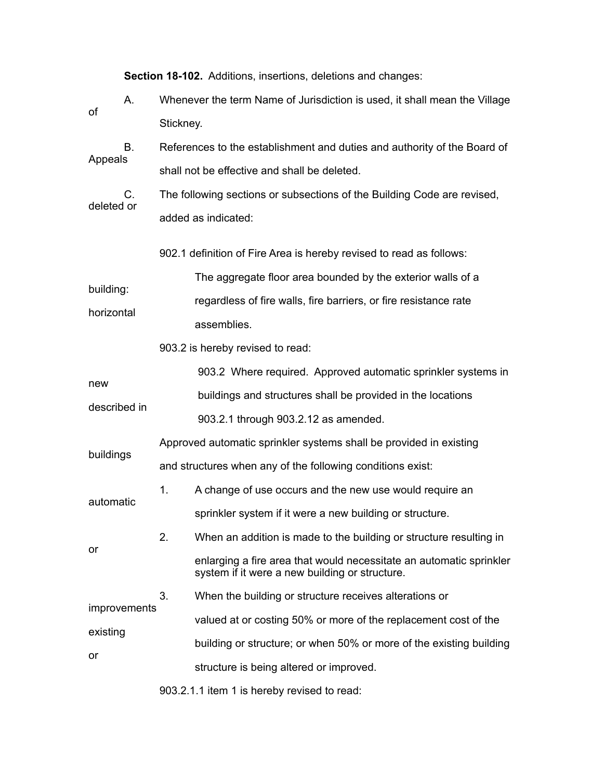**Section 18-102.** Additions, insertions, deletions and changes:

- A. Whenever the term Name of Jurisdiction is used, it shall mean the Village of Stickney.
- B. References to the establishment and duties and authority of the Board of Appeals shall not be effective and shall be deleted.

 C. The following sections or subsections of the Building Code are revised, deleted or added as indicated:

902.1 definition of Fire Area is hereby revised to read as follows:

 The aggregate floor area bounded by the exterior walls of a building: regardless of fire walls, fire barriers, or fire resistance rate horizontal assemblies.

903.2 is hereby revised to read:

or

 903.2 Where required. Approved automatic sprinkler systems in new buildings and structures shall be provided in the locations described in 903.2.1 through 903.2.12 as amended.

 Approved automatic sprinkler systems shall be provided in existing buildings and structures when any of the following conditions exist:

 1. A change of use occurs and the new use would require an automatic sprinkler system if it were a new building or structure.

 2. When an addition is made to the building or structure resulting in enlarging a fire area that would necessitate an automatic sprinkler system if it were a new building or structure.

 3. When the building or structure receives alterations or improvements valued at or costing 50% or more of the replacement cost of the existing building or structure; or when 50% or more of the existing building or structure is being altered or improved.

903.2.1.1 item 1 is hereby revised to read: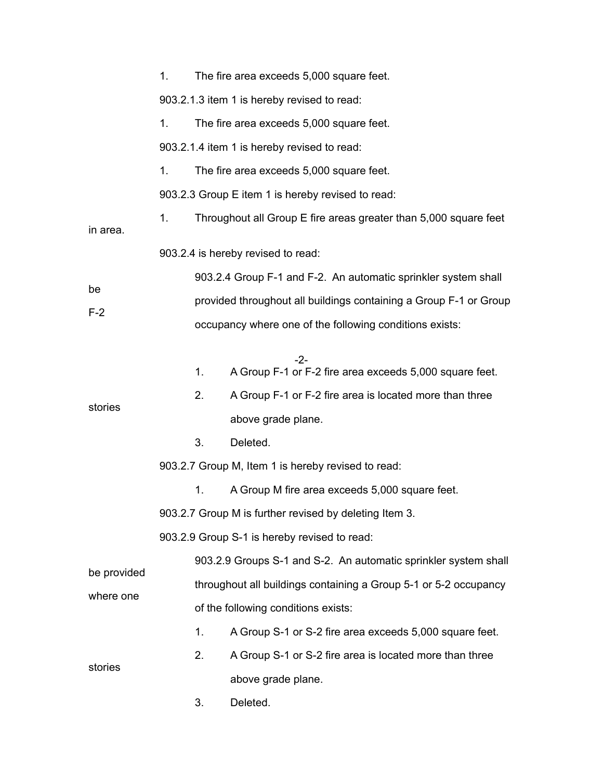|                          | 1.                                                               |                                                                   | The fire area exceeds 5,000 square feet.                         |  |  |  |
|--------------------------|------------------------------------------------------------------|-------------------------------------------------------------------|------------------------------------------------------------------|--|--|--|
|                          | 903.2.1.3 item 1 is hereby revised to read:                      |                                                                   |                                                                  |  |  |  |
|                          | 1.                                                               |                                                                   | The fire area exceeds 5,000 square feet.                         |  |  |  |
|                          | 903.2.1.4 item 1 is hereby revised to read:                      |                                                                   |                                                                  |  |  |  |
|                          | 1.                                                               |                                                                   | The fire area exceeds 5,000 square feet.                         |  |  |  |
|                          | 903.2.3 Group E item 1 is hereby revised to read:                |                                                                   |                                                                  |  |  |  |
| in area.                 | 1.                                                               |                                                                   | Throughout all Group E fire areas greater than 5,000 square feet |  |  |  |
|                          | 903.2.4 is hereby revised to read:                               |                                                                   |                                                                  |  |  |  |
| be<br>$F-2$              |                                                                  |                                                                   | 903.2.4 Group F-1 and F-2. An automatic sprinkler system shall   |  |  |  |
|                          |                                                                  | provided throughout all buildings containing a Group F-1 or Group |                                                                  |  |  |  |
|                          |                                                                  |                                                                   | occupancy where one of the following conditions exists:          |  |  |  |
|                          |                                                                  | 1.                                                                | -2-<br>A Group F-1 or F-2 fire area exceeds 5,000 square feet.   |  |  |  |
|                          |                                                                  | 2.                                                                | A Group F-1 or F-2 fire area is located more than three          |  |  |  |
| stories                  |                                                                  |                                                                   | above grade plane.                                               |  |  |  |
|                          |                                                                  | 3.                                                                | Deleted.                                                         |  |  |  |
|                          | 903.2.7 Group M, Item 1 is hereby revised to read:               |                                                                   |                                                                  |  |  |  |
|                          |                                                                  | 1.                                                                | A Group M fire area exceeds 5,000 square feet.                   |  |  |  |
|                          | 903.2.7 Group M is further revised by deleting Item 3.           |                                                                   |                                                                  |  |  |  |
|                          | 903.2.9 Group S-1 is hereby revised to read:                     |                                                                   |                                                                  |  |  |  |
| be provided<br>where one | 903.2.9 Groups S-1 and S-2. An automatic sprinkler system shall  |                                                                   |                                                                  |  |  |  |
|                          | throughout all buildings containing a Group 5-1 or 5-2 occupancy |                                                                   |                                                                  |  |  |  |
|                          | of the following conditions exists:                              |                                                                   |                                                                  |  |  |  |
| stories                  |                                                                  | 1.                                                                | A Group S-1 or S-2 fire area exceeds 5,000 square feet.          |  |  |  |
|                          |                                                                  | 2.                                                                | A Group S-1 or S-2 fire area is located more than three          |  |  |  |
|                          |                                                                  |                                                                   | above grade plane.                                               |  |  |  |
|                          |                                                                  | 3.                                                                | Deleted.                                                         |  |  |  |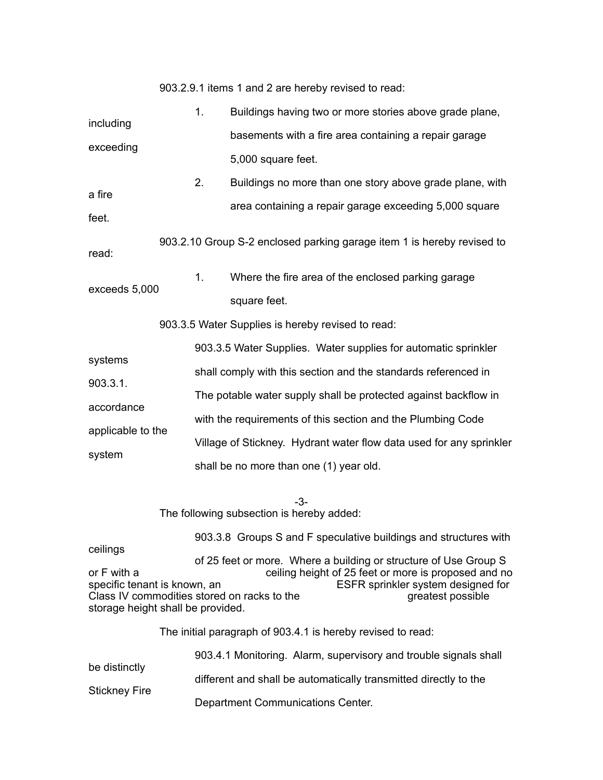| 903.2.9.1 items 1 and 2 are hereby revised to read: |  |
|-----------------------------------------------------|--|
|-----------------------------------------------------|--|

|                   | 1.                                                                  | Buildings having two or more stories above grade plane,                |  |  |  |
|-------------------|---------------------------------------------------------------------|------------------------------------------------------------------------|--|--|--|
| including         |                                                                     | basements with a fire area containing a repair garage                  |  |  |  |
| exceeding         |                                                                     | 5,000 square feet.                                                     |  |  |  |
|                   | 2.                                                                  | Buildings no more than one story above grade plane, with               |  |  |  |
| a fire<br>feet.   |                                                                     | area containing a repair garage exceeding 5,000 square                 |  |  |  |
| read:             |                                                                     | 903.2.10 Group S-2 enclosed parking garage item 1 is hereby revised to |  |  |  |
|                   | 1 <sub>1</sub>                                                      | Where the fire area of the enclosed parking garage                     |  |  |  |
| exceeds 5,000     |                                                                     | square feet.                                                           |  |  |  |
|                   |                                                                     | 903.3.5 Water Supplies is hereby revised to read:                      |  |  |  |
|                   |                                                                     | 903.3.5 Water Supplies. Water supplies for automatic sprinkler         |  |  |  |
| systems           | shall comply with this section and the standards referenced in      |                                                                        |  |  |  |
| 903.3.1.          | The potable water supply shall be protected against backflow in     |                                                                        |  |  |  |
| accordance        | with the requirements of this section and the Plumbing Code         |                                                                        |  |  |  |
| applicable to the | Village of Stickney. Hydrant water flow data used for any sprinkler |                                                                        |  |  |  |
| system            |                                                                     | shall be no more than one (1) year old.                                |  |  |  |
|                   |                                                                     | -3-                                                                    |  |  |  |
|                   |                                                                     | The following subsection is hereby added:                              |  |  |  |
| ceilings          |                                                                     | 903.3.8 Groups S and F speculative buildings and structures with       |  |  |  |
|                   |                                                                     | of 25 feet or more. Where a building or structure of Use Group S       |  |  |  |

or F with a ceiling height of 25 feet or more is proposed and no specific tenant is known, an **ESFR** sprinkler system designed for Class IV commodities stored on racks to the greatest possible greatest possible storage height shall be provided.

The initial paragraph of 903.4.1 is hereby revised to read:

| be distinctly        | 903.4.1 Monitoring. Alarm, supervisory and trouble signals shall |
|----------------------|------------------------------------------------------------------|
| <b>Stickney Fire</b> | different and shall be automatically transmitted directly to the |
|                      | Department Communications Center.                                |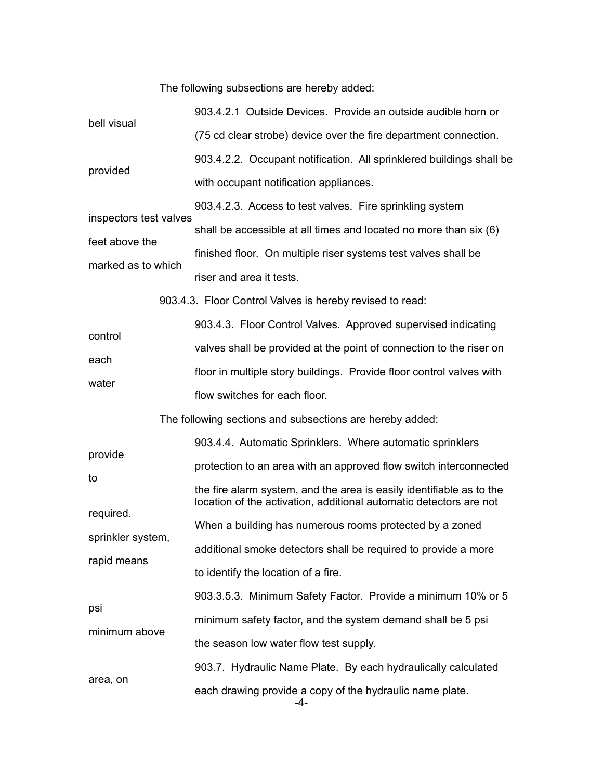The following subsections are hereby added:

| bell visual<br>provided | 903.4.2.1 Outside Devices. Provide an outside audible horn or                                                                              |
|-------------------------|--------------------------------------------------------------------------------------------------------------------------------------------|
|                         | (75 cd clear strobe) device over the fire department connection.                                                                           |
|                         | 903.4.2.2. Occupant notification. All sprinklered buildings shall be                                                                       |
|                         | with occupant notification appliances.                                                                                                     |
|                         | 903.4.2.3. Access to test valves. Fire sprinkling system                                                                                   |
| inspectors test valves  | shall be accessible at all times and located no more than six (6)                                                                          |
| feet above the          | finished floor. On multiple riser systems test valves shall be                                                                             |
| marked as to which      | riser and area it tests.                                                                                                                   |
|                         | 903.4.3. Floor Control Valves is hereby revised to read:                                                                                   |
|                         | 903.4.3. Floor Control Valves. Approved supervised indicating                                                                              |
| control                 | valves shall be provided at the point of connection to the riser on                                                                        |
| each                    | floor in multiple story buildings. Provide floor control valves with                                                                       |
| water                   | flow switches for each floor.                                                                                                              |
|                         | The following sections and subsections are hereby added:                                                                                   |
| provide                 | 903.4.4. Automatic Sprinklers. Where automatic sprinklers                                                                                  |
|                         | protection to an area with an approved flow switch interconnected                                                                          |
| to                      | the fire alarm system, and the area is easily identifiable as to the<br>location of the activation, additional automatic detectors are not |
| required.               | When a building has numerous rooms protected by a zoned                                                                                    |
| sprinkler system,       | additional smoke detectors shall be required to provide a more                                                                             |
| rapid means             | to identify the location of a fire.                                                                                                        |
|                         | 903.3.5.3. Minimum Safety Factor. Provide a minimum 10% or 5                                                                               |
| psi<br>minimum above    | minimum safety factor, and the system demand shall be 5 psi                                                                                |
|                         | the season low water flow test supply.                                                                                                     |
|                         | 903.7. Hydraulic Name Plate. By each hydraulically calculated                                                                              |
| area, on                |                                                                                                                                            |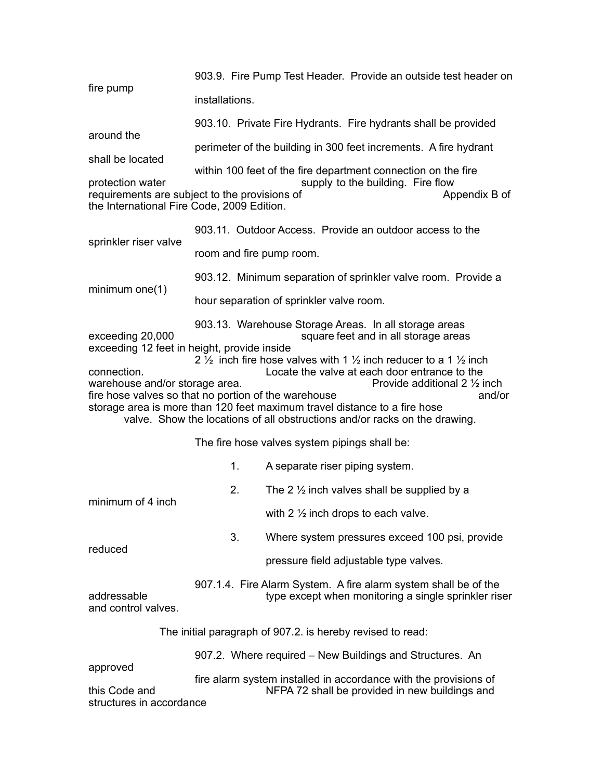903.9. Fire Pump Test Header. Provide an outside test header on fire pump installations. 903.10. Private Fire Hydrants. Fire hydrants shall be provided around the perimeter of the building in 300 feet increments. A fire hydrant shall be located within 100 feet of the fire department connection on the fire protection water supply to the building. Fire flow requirements are subject to the provisions of Termino Appendix B of the International Fire Code, 2009 Edition. 903.11. Outdoor Access. Provide an outdoor access to the sprinkler riser valve room and fire pump room. 903.12. Minimum separation of sprinkler valve room. Provide a minimum one(1) hour separation of sprinkler valve room. 903.13. Warehouse Storage Areas. In all storage areas<br>square feet and in all storage areas square feet and in all storage areas exceeding 12 feet in height, provide inside 2  $\frac{1}{2}$  inch fire hose valves with 1  $\frac{1}{2}$  inch reducer to a 1  $\frac{1}{2}$  inch connection.<br>warehouse and/or storage area.<br>Provide additional 2 1/2 inch warehouse and/or storage area. fire hose valves so that no portion of the warehouse and and or storage area is more than 120 feet maximum travel distance to a fire hose valve. Show the locations of all obstructions and/or racks on the drawing. The fire hose valves system pipings shall be: 1. A separate riser piping system. 2. The 2  $\frac{1}{2}$  inch valves shall be supplied by a minimum of 4 inch with 2 ½ inch drops to each valve. 3. Where system pressures exceed 100 psi, provide reduced pressure field adjustable type valves. 907.1.4. Fire Alarm System. A fire alarm system shall be of the<br>type except when monitoring a single sprinkler ris type except when monitoring a single sprinkler riser and control valves. The initial paragraph of 907.2. is hereby revised to read: 907.2. Where required – New Buildings and Structures. An approved fire alarm system installed in accordance with the provisions of<br>NFPA 72 shall be provided in new buildings and NFPA 72 shall be provided in new buildings and structures in accordance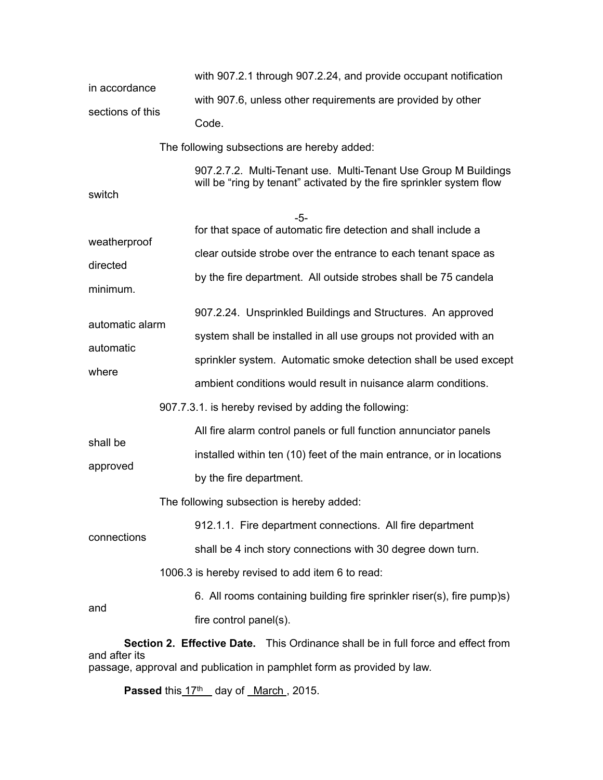|                                                                                                   | with 907.2.1 through 907.2.24, and provide occupant notification                                                                                                                                                                                                     |  |  |  |
|---------------------------------------------------------------------------------------------------|----------------------------------------------------------------------------------------------------------------------------------------------------------------------------------------------------------------------------------------------------------------------|--|--|--|
| in accordance                                                                                     | with 907.6, unless other requirements are provided by other                                                                                                                                                                                                          |  |  |  |
| sections of this                                                                                  | Code.                                                                                                                                                                                                                                                                |  |  |  |
|                                                                                                   | The following subsections are hereby added:                                                                                                                                                                                                                          |  |  |  |
| switch                                                                                            | 907.2.7.2. Multi-Tenant use. Multi-Tenant Use Group M Buildings<br>will be "ring by tenant" activated by the fire sprinkler system flow                                                                                                                              |  |  |  |
| weatherproof                                                                                      | -5-<br>for that space of automatic fire detection and shall include a<br>clear outside strobe over the entrance to each tenant space as                                                                                                                              |  |  |  |
| directed<br>minimum.                                                                              | by the fire department. All outside strobes shall be 75 candela                                                                                                                                                                                                      |  |  |  |
| automatic alarm<br>automatic<br>where                                                             | 907.2.24. Unsprinkled Buildings and Structures. An approved<br>system shall be installed in all use groups not provided with an<br>sprinkler system. Automatic smoke detection shall be used except<br>ambient conditions would result in nuisance alarm conditions. |  |  |  |
|                                                                                                   | 907.7.3.1. is hereby revised by adding the following:                                                                                                                                                                                                                |  |  |  |
| shall be<br>approved                                                                              | All fire alarm control panels or full function annunciator panels<br>installed within ten (10) feet of the main entrance, or in locations<br>by the fire department.                                                                                                 |  |  |  |
| connections                                                                                       | The following subsection is hereby added:<br>912.1.1. Fire department connections. All fire department<br>shall be 4 inch story connections with 30 degree down turn.                                                                                                |  |  |  |
|                                                                                                   | 1006.3 is hereby revised to add item 6 to read:                                                                                                                                                                                                                      |  |  |  |
| and                                                                                               | 6. All rooms containing building fire sprinkler riser(s), fire pump)s)<br>fire control panel(s).                                                                                                                                                                     |  |  |  |
| Section 2. Effective Date. This Ordinance shall be in full force and effect from<br>and after its |                                                                                                                                                                                                                                                                      |  |  |  |

passage, approval and publication in pamphlet form as provided by law.

Passed this  $17<sup>th</sup>$  day of <u>March</u>, 2015.